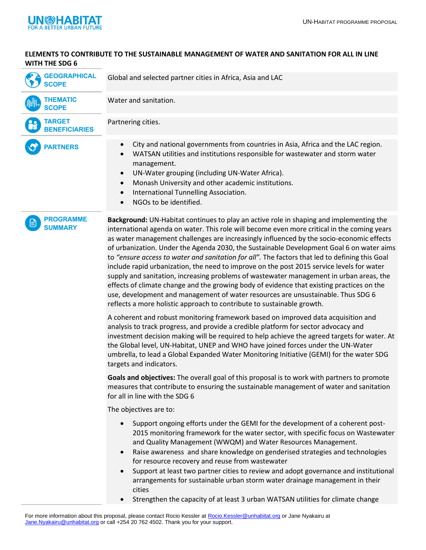

## **ELEMENTS TO CONTRIBUTE TO THE SUSTAINABLE MANAGEMENT OF WATER AND SANITATION FOR ALL IN LINE WITH THE SDG 6**

| <b>GEOGRAPHICAL</b><br><b>SCOPE</b>   | Global and selected partner cities in Africa, Asia and LAC                                                                                                                                                                                                                                                                                                 |
|---------------------------------------|------------------------------------------------------------------------------------------------------------------------------------------------------------------------------------------------------------------------------------------------------------------------------------------------------------------------------------------------------------|
| <b>THEMATIC</b><br><b>SCOPE</b>       | Water and sanitation.                                                                                                                                                                                                                                                                                                                                      |
| <b>TARGET</b><br><b>BENEFICIARIES</b> | Partnering cities.                                                                                                                                                                                                                                                                                                                                         |
| <b>PARTNERS</b>                       | City and national governments from countries in Asia, Africa and the LAC region.<br>WATSAN utilities and institutions responsible for wastewater and storm water<br>management.<br>UN-Water grouping (including UN-Water Africa).<br>Monash University and other academic institutions.<br>International Tunnelling Association.<br>NGOs to be identified. |

**PROGRAMME SUMMARY**

**Background:** UN-Habitat continues to play an active role in shaping and implementing the international agenda on water. This role will become even more critical in the coming years as water management challenges are increasingly influenced by the socio-economic effects of urbanization. Under the Agenda 2030, the Sustainable Development Goal 6 on water aims to *"ensure access to water and sanitation for all".* The factors that led to defining this Goal include rapid urbanization, the need to improve on the post 2015 service levels for water supply and sanitation, increasing problems of wastewater management in urban areas, the effects of climate change and the growing body of evidence that existing practices on the use, development and management of water resources are unsustainable. Thus SDG 6 reflects a more holistic approach to contribute to sustainable growth.

A coherent and robust monitoring framework based on improved data acquisition and analysis to track progress, and provide a credible platform for sector advocacy and investment decision making will be required to help achieve the agreed targets for water. At the Global level, UN-Habitat, UNEP and WHO have joined forces under the UN-Water umbrella, to lead a Global Expanded Water Monitoring Initiative (GEMI) for the water SDG targets and indicators.

**Goals and objectives:** The overall goal of this proposal is to work with partners to promote measures that contribute to ensuring the sustainable management of water and sanitation for all in line with the SDG 6

The objectives are to:

- Support ongoing efforts under the GEMI for the development of a coherent post-2015 monitoring framework for the water sector, with specific focus on Wastewater and Quality Management (WWQM) and Water Resources Management.
- Raise awareness and share knowledge on genderised strategies and technologies for resource recovery and reuse from wastewater
- Support at least two partner cities to review and adopt governance and institutional arrangements for sustainable urban storm water drainage management in their cities
- Strengthen the capacity of at least 3 urban WATSAN utilities for climate change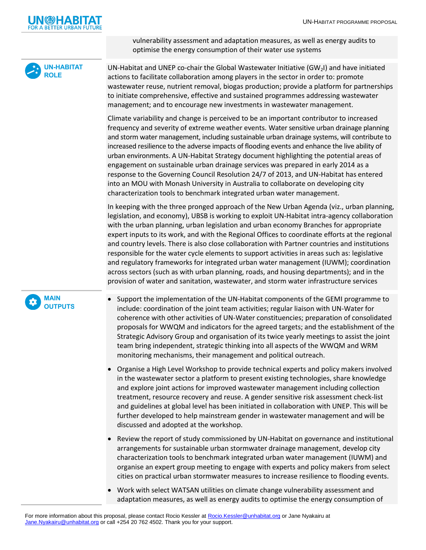

vulnerability assessment and adaptation measures, as well as energy audits to optimise the energy consumption of their water use systems



UN-Habitat and UNEP co-chair the Global Wastewater Initiative  $(GW<sub>2</sub>I)$  and have initiated actions to facilitate collaboration among players in the sector in order to: promote wastewater reuse, nutrient removal, biogas production; provide a platform for partnerships to initiate comprehensive, effective and sustained programmes addressing wastewater management; and to encourage new investments in wastewater management.

Climate variability and change is perceived to be an important contributor to increased frequency and severity of extreme weather events. Water sensitive urban drainage planning and storm water management, including sustainable urban drainage systems, will contribute to increased resilience to the adverse impacts of flooding events and enhance the live ability of urban environments. A UN-Habitat Strategy document highlighting the potential areas of engagement on sustainable urban drainage services was prepared in early 2014 as a response to the Governing Council Resolution 24/7 of 2013, and UN-Habitat has entered into an MOU with Monash University in Australia to collaborate on developing city characterization tools to benchmark integrated urban water management.

In keeping with the three pronged approach of the New Urban Agenda (viz., urban planning, legislation, and economy), UBSB is working to exploit UN-Habitat intra-agency collaboration with the urban planning, urban legislation and urban economy Branches for appropriate expert inputs to its work, and with the Regional Offices to coordinate efforts at the regional and country levels. There is also close collaboration with Partner countries and institutions responsible for the water cycle elements to support activities in areas such as: legislative and regulatory frameworks for integrated urban water management (IUWM); coordination across sectors (such as with urban planning, roads, and housing departments); and in the provision of water and sanitation, wastewater, and storm water infrastructure services



- Support the implementation of the UN-Habitat components of the GEMI programme to include: coordination of the joint team activities; regular liaison with UN-Water for coherence with other activities of UN-Water constituencies; preparation of consolidated proposals for WWQM and indicators for the agreed targets; and the establishment of the Strategic Advisory Group and organisation of its twice yearly meetings to assist the joint team bring independent, strategic thinking into all aspects of the WWQM and WRM monitoring mechanisms, their management and political outreach.
- Organise a High Level Workshop to provide technical experts and policy makers involved in the wastewater sector a platform to present existing technologies, share knowledge and explore joint actions for improved wastewater management including collection treatment, resource recovery and reuse. A gender sensitive risk assessment check-list and guidelines at global level has been initiated in collaboration with UNEP. This will be further developed to help mainstream gender in wastewater management and will be discussed and adopted at the workshop.
- Review the report of study commissioned by UN-Habitat on governance and institutional arrangements for sustainable urban stormwater drainage management, develop city characterization tools to benchmark integrated urban water management (IUWM) and organise an expert group meeting to engage with experts and policy makers from select cities on practical urban stormwater measures to increase resilience to flooding events.
- Work with select WATSAN utilities on climate change vulnerability assessment and adaptation measures, as well as energy audits to optimise the energy consumption of